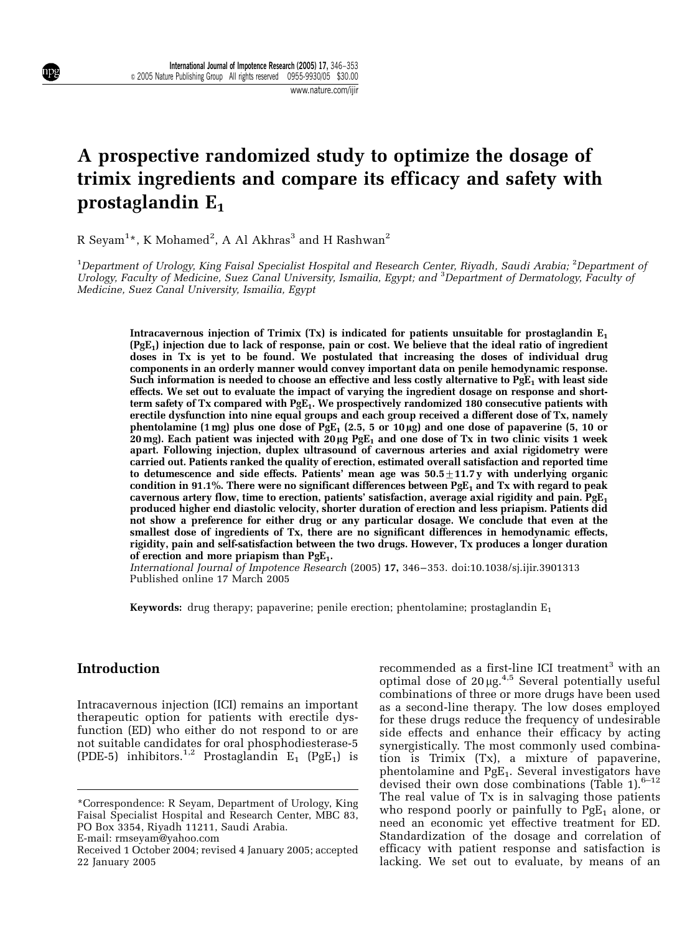#### www.nature.com/ijir

# A prospective randomized study to optimize the dosage of trimix ingredients and compare its efficacy and safety with prostaglandin  $E_1$

R Seyam $^{1\star}$ , K Mohamed $^{2}$ , A Al Akhras $^{3}$  and H Rashwan $^{2}$ 

 $^{\rm 1}$ Department of Urology, King Faisal Specialist Hospital and Research Center, Riyadh, Saudi Arabia;  $^{\rm 2}$ Department of Urology, Faculty of Medicine, Suez Canal University, Ismailia, Egypt; and <sup>3</sup>Department of Dermatology, Faculty of Medicine, Suez Canal University, Ismailia, Egypt

Intracavernous injection of Trimix  $(Tx)$  is indicated for patients unsuitable for prostaglandin  $E_1$ (PgE1) injection due to lack of response, pain or cost. We believe that the ideal ratio of ingredient doses in Tx is yet to be found. We postulated that increasing the doses of individual drug components in an orderly manner would convey important data on penile hemodynamic response. Such information is needed to choose an effective and less costly alternative to  $PgE_1$  with least side effects. We set out to evaluate the impact of varying the ingredient dosage on response and shortterm safety of Tx compared with  $PgE_1$ . We prospectively randomized 180 consecutive patients with erectile dysfunction into nine equal groups and each group received a different dose of Tx, namely phentolamine (1 mg) plus one dose of PgE<sub>1</sub> (2.5, 5 or 10 µg) and one dose of papaverine (5, 10 or 20 mg). Each patient was injected with 20  $\mu$ g PgE<sub>1</sub> and one dose of Tx in two clinic visits 1 week apart. Following injection, duplex ultrasound of cavernous arteries and axial rigidometry were carried out. Patients ranked the quality of erection, estimated overall satisfaction and reported time to detumescence and side effects. Patients' mean age was  $50.5 \pm 11.7$  y with underlying organic condition in 91.1%. There were no significant differences between  $PgE<sub>1</sub>$  and Tx with regard to peak cavernous artery flow, time to erection, patients' satisfaction, average axial rigidity and pain.  $PgE_1$ produced higher end diastolic velocity, shorter duration of erection and less priapism. Patients did not show a preference for either drug or any particular dosage. We conclude that even at the smallest dose of ingredients of Tx, there are no significant differences in hemodynamic effects, rigidity, pain and self-satisfaction between the two drugs. However, Tx produces a longer duration of erection and more priapism than  $PgE_1$ .

International Journal of Impotence Research (2005) 17, 346–353. doi:10.1038/sj.ijir.3901313 Published online 17 March 2005

**Keywords:** drug therapy; papaverine; penile erection; phentolamine; prostaglandin  $E_1$ 

## Introduction

Intracavernous injection (ICI) remains an important therapeutic option for patients with erectile dysfunction (ED) who either do not respond to or are not suitable candidates for oral phosphodiesterase-5 (PDE-5) inhibitors.<sup>1,2</sup> Prostaglandin  $E_1$  (PgE<sub>1</sub>) is

E-mail: rmseyam@yahoo.com

recommended as a first-line ICI treatment<sup>3</sup> with an optimal dose of  $20 \mu g$ .<sup>4,5</sup> Several potentially useful combinations of three or more drugs have been used as a second-line therapy. The low doses employed for these drugs reduce the frequency of undesirable side effects and enhance their efficacy by acting synergistically. The most commonly used combination is Trimix (Tx), a mixture of papaverine, phentolamine and PgE<sub>1</sub>. Several investigators have devised their own dose combinations (Table 1). $6-12$ The real value of Tx is in salvaging those patients who respond poorly or painfully to  $PgE_1$  alone, or need an economic yet effective treatment for ED. Standardization of the dosage and correlation of efficacy with patient response and satisfaction is lacking. We set out to evaluate, by means of an

<sup>\*</sup>Correspondence: R Seyam, Department of Urology, King Faisal Specialist Hospital and Research Center, MBC 83, PO Box 3354, Riyadh 11211, Saudi Arabia.

Received 1 October 2004; revised 4 January 2005; accepted 22 January 2005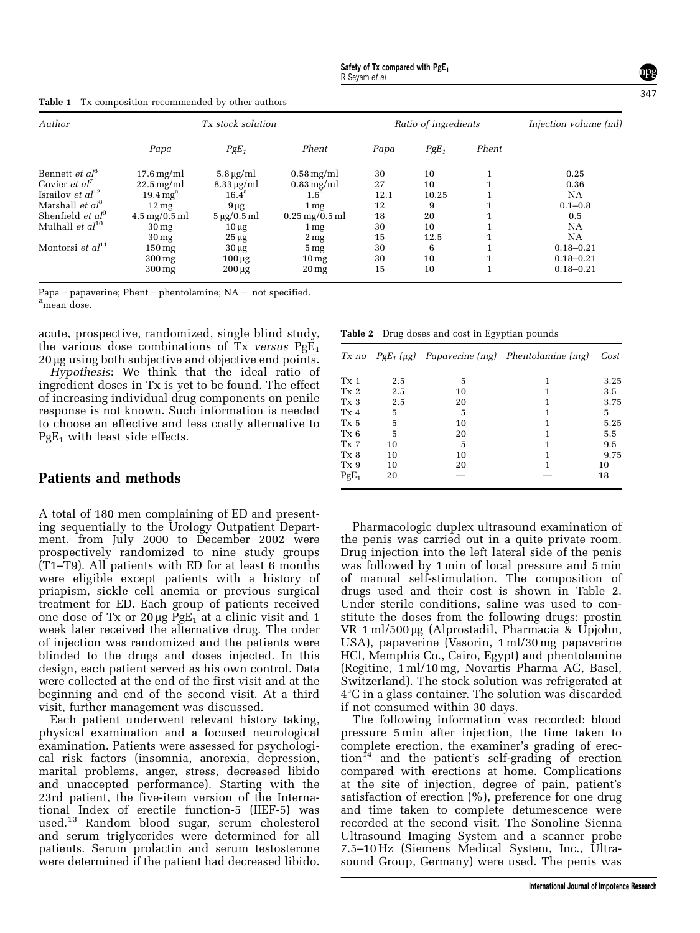| Author                                    |                                       | Tx stock solution           |                         |      | Ratio of ingredients | Injection volume (ml) |               |
|-------------------------------------------|---------------------------------------|-----------------------------|-------------------------|------|----------------------|-----------------------|---------------|
|                                           | Papa                                  | $PgE_1$                     | Phent                   | Papa | $PgE_1$              | Phent                 |               |
| Bennett et al <sup>6</sup>                | $17.6 \,\mathrm{mg/ml}$               | $5.8 \,\mathrm{\upmu g/ml}$ | $0.58 \,\mathrm{mg/ml}$ | 30   | 10                   |                       | 0.25          |
| Govier <i>et</i> $aI^{\prime}$            | $22.5 \,\mathrm{mg/ml}$               | $8.33 \,\mathrm{\mu g/ml}$  | $0.83 \,\mathrm{mg/ml}$ | 27   | 10                   |                       | 0.36          |
| Israilov et $al^{12}$                     | $19.4 \,\mathrm{mg}^{\mathrm{a}}$     | $16.4^{\mathrm{a}}$         | 1.6 <sup>a</sup>        | 12.1 | 10.25                |                       | NΑ            |
| Marshall <i>et <math>a^{\beta}</math></i> | $12 \,\mathrm{mg}$                    | $9 \mu g$                   | 1 <sub>mg</sub>         | 12   | 9                    |                       | $0.1 - 0.8$   |
| Shenfield <i>et</i> $aI^9$                | $4.5 \,\mathrm{mg}/0.5 \,\mathrm{ml}$ | $5 \mu g/0.5$ ml            | $0.25$ mg/0.5 ml        | 18   | 20                   |                       | 0.5           |
| Mulhall <i>et <math>al^{10}</math></i>    | 30 <sub>mg</sub>                      | $10 \mu g$                  | 1 <sub>mg</sub>         | 30   | 10                   |                       | NΑ            |
|                                           | 30 <sub>mg</sub>                      | $25 \mu g$                  | 2 <sub>mg</sub>         | 15   | 12.5                 |                       | NA            |
| Montorsi et $al^{11}$                     | $150 \,\mathrm{mg}$                   | $30 \mu g$                  | 5 <sub>mg</sub>         | 30   | 6                    |                       | $0.18 - 0.21$ |
|                                           | $300 \,\mathrm{mg}$                   | $100 \mu g$                 | 10 <sub>mg</sub>        | 30   | 10                   |                       | $0.18 - 0.21$ |
|                                           | $300 \,\mathrm{mg}$                   | $200 \mu g$                 | 20 <sub>mg</sub>        | 15   | 10                   |                       | $0.18 - 0.21$ |

Table 1 Tx composition recommended by other authors

 $Papa = papaceine; Phent = phentolamine; NA = not specified.$ <sup>a</sup>mean dose.

acute, prospective, randomized, single blind study, the various dose combinations of Tx versus  $PgE_1$ 20 μg using both subjective and objective end points.

Hypothesis: We think that the ideal ratio of ingredient doses in Tx is yet to be found. The effect of increasing individual drug components on penile response is not known. Such information is needed to choose an effective and less costly alternative to  $PgE_1$  with least side effects.

## Patients and methods

A total of 180 men complaining of ED and presenting sequentially to the Urology Outpatient Department, from July 2000 to December 2002 were prospectively randomized to nine study groups (T1–T9). All patients with ED for at least 6 months were eligible except patients with a history of priapism, sickle cell anemia or previous surgical treatment for ED. Each group of patients received one dose of Tx or  $20 \mu g$  PgE<sub>1</sub> at a clinic visit and 1 week later received the alternative drug. The order of injection was randomized and the patients were blinded to the drugs and doses injected. In this design, each patient served as his own control. Data were collected at the end of the first visit and at the beginning and end of the second visit. At a third visit, further management was discussed.

Each patient underwent relevant history taking, physical examination and a focused neurological examination. Patients were assessed for psychological risk factors (insomnia, anorexia, depression, marital problems, anger, stress, decreased libido and unaccepted performance). Starting with the 23rd patient, the five-item version of the International Index of erectile function-5 (IIEF-5) was used.<sup>13</sup> Random blood sugar, serum cholesterol and serum triglycerides were determined for all patients. Serum prolactin and serum testosterone were determined if the patient had decreased libido.

Table 2 Drug doses and cost in Egyptian pounds

| Tx no           |     |    | $PgE_1(\mu g)$ Papaverine (mg) Phentolamine (mg) | Cost |
|-----------------|-----|----|--------------------------------------------------|------|
| Tx <sub>1</sub> | 2.5 | 5  |                                                  | 3.25 |
| Tx <sub>2</sub> | 2.5 | 10 |                                                  | 3.5  |
| Tx <sub>3</sub> | 2.5 | 20 |                                                  | 3.75 |
| Tx <sub>4</sub> | 5   | 5  | 1                                                | 5    |
| Tx 5            | 5   | 10 |                                                  | 5.25 |
| Tx 6            | 5   | 20 | 1                                                | 5.5  |
| Tx <sub>7</sub> | 10  | 5  | 1                                                | 9.5  |
| Tx 8            | 10  | 10 | 1                                                | 9.75 |
| Tx 9            | 10  | 20 | 1                                                | 10   |
| $PgE_1$         | 20  |    |                                                  | 18   |

Pharmacologic duplex ultrasound examination of the penis was carried out in a quite private room. Drug injection into the left lateral side of the penis was followed by 1 min of local pressure and 5 min of manual self-stimulation. The composition of drugs used and their cost is shown in Table 2. Under sterile conditions, saline was used to constitute the doses from the following drugs: prostin VR  $1 \text{ ml}/500 \mu$ g (Alprostadil, Pharmacia & Upjohn, USA), papaverine (Vasorin, 1 ml/30 mg papaverine HCl, Memphis Co., Cairo, Egypt) and phentolamine (Regitine, 1 ml/10 mg, Novartis Pharma AG, Basel, Switzerland). The stock solution was refrigerated at  $4^{\circ}$ C in a glass container. The solution was discarded if not consumed within 30 days.

The following information was recorded: blood pressure 5 min after injection, the time taken to complete erection, the examiner's grading of erec- $\chi$  tion<sup>14</sup> and the patient's self-grading of erection compared with erections at home. Complications at the site of injection, degree of pain, patient's satisfaction of erection (%), preference for one drug and time taken to complete detumescence were recorded at the second visit. The Sonoline Sienna Ultrasound Imaging System and a scanner probe 7.5–10 Hz (Siemens Medical System, Inc., Ultrasound Group, Germany) were used. The penis was 347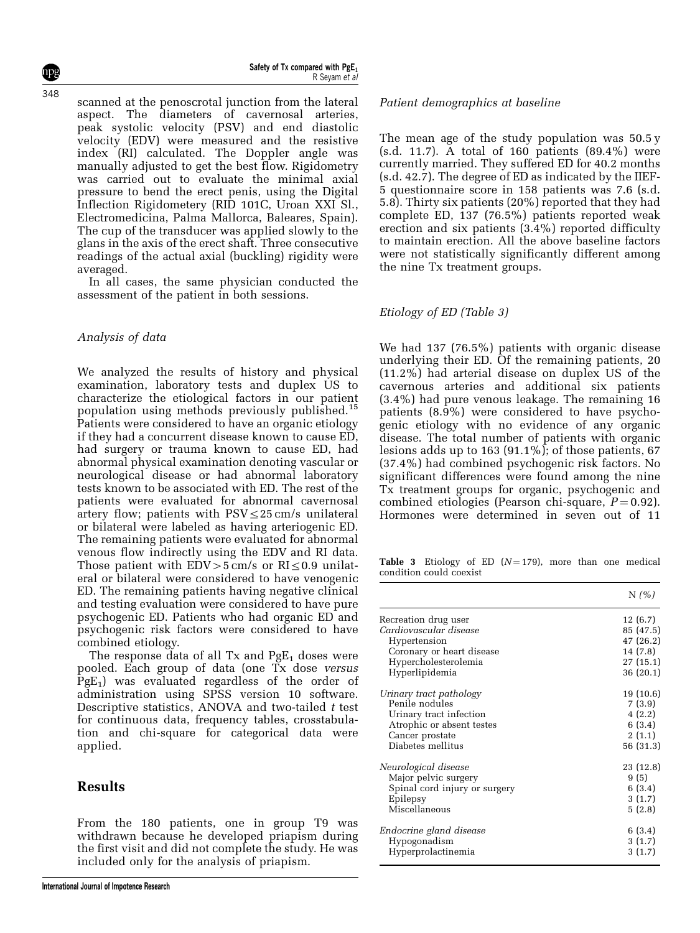Safety of Tx compared with  $PgE_1$ R Seyam et al

scanned at the penoscrotal junction from the lateral aspect. The diameters of cavernosal arteries, peak systolic velocity (PSV) and end diastolic velocity (EDV) were measured and the resistive index (RI) calculated. The Doppler angle was manually adjusted to get the best flow. Rigidometry was carried out to evaluate the minimal axial pressure to bend the erect penis, using the Digital Inflection Rigidometery (RID 101C, Uroan XXI Sl., Electromedicina, Palma Mallorca, Baleares, Spain). The cup of the transducer was applied slowly to the glans in the axis of the erect shaft. Three consecutive readings of the actual axial (buckling) rigidity were averaged.

In all cases, the same physician conducted the assessment of the patient in both sessions.

#### Analysis of data

We analyzed the results of history and physical examination, laboratory tests and duplex US to characterize the etiological factors in our patient population using methods previously published.<sup>15</sup> Patients were considered to have an organic etiology if they had a concurrent disease known to cause ED, had surgery or trauma known to cause ED, had abnormal physical examination denoting vascular or neurological disease or had abnormal laboratory tests known to be associated with ED. The rest of the patients were evaluated for abnormal cavernosal artery flow; patients with  $PSV \leq 25$  cm/s unilateral or bilateral were labeled as having arteriogenic ED. The remaining patients were evaluated for abnormal venous flow indirectly using the EDV and RI data. Those patient with  $EDV>5$  cm/s or  $RI\leq0.9$  unilateral or bilateral were considered to have venogenic ED. The remaining patients having negative clinical and testing evaluation were considered to have pure psychogenic ED. Patients who had organic ED and psychogenic risk factors were considered to have combined etiology.

The response data of all  $Tx$  and  $PgE_1$  doses were pooled. Each group of data (one Tx dose versus  $PgE_1$ ) was evaluated regardless of the order of administration using SPSS version 10 software. Descriptive statistics, ANOVA and two-tailed  $t$  test for continuous data, frequency tables, crosstabulation and chi-square for categorical data were applied.

## Results

From the 180 patients, one in group T9 was withdrawn because he developed priapism during the first visit and did not complete the study. He was included only for the analysis of priapism.

#### Patient demographics at baseline

The mean age of the study population was 50.5 y (s.d. 11.7). A total of 160 patients (89.4%) were currently married. They suffered ED for 40.2 months (s.d. 42.7). The degree of ED as indicated by the IIEF-5 questionnaire score in 158 patients was 7.6 (s.d. 5.8). Thirty six patients (20%) reported that they had complete ED, 137 (76.5%) patients reported weak erection and six patients (3.4%) reported difficulty to maintain erection. All the above baseline factors were not statistically significantly different among the nine Tx treatment groups.

#### Etiology of ED (Table 3)

We had 137 (76.5%) patients with organic disease underlying their ED. Of the remaining patients, 20 (11.2%) had arterial disease on duplex US of the cavernous arteries and additional six patients (3.4%) had pure venous leakage. The remaining 16 patients (8.9%) were considered to have psychogenic etiology with no evidence of any organic disease. The total number of patients with organic lesions adds up to 163  $(91.1\%)$ ; of those patients, 67 (37.4%) had combined psychogenic risk factors. No significant differences were found among the nine Tx treatment groups for organic, psychogenic and combined etiologies (Pearson chi-square,  $P = 0.92$ ). Hormones were determined in seven out of 11

Table 3 Etiology of ED  $(N = 179)$ , more than one medical condition could coexist

|                               | N(%       |
|-------------------------------|-----------|
| Recreation drug user          | 12(6.7)   |
| Cardiovascular disease        | 85 (47.5) |
| Hypertension                  | 47 (26.2) |
| Coronary or heart disease     | 14 (7.8)  |
| Hypercholesterolemia          | 27(15.1)  |
| Hyperlipidemia                | 36 (20.1) |
| Urinary tract pathology       | 19 (10.6) |
| Penile nodules                | 7(3.9)    |
| Urinary tract infection       | 4(2.2)    |
| Atrophic or absent testes     | 6(3.4)    |
| Cancer prostate               | 2(1.1)    |
| Diabetes mellitus             | 56 (31.3) |
| Neurological disease          | 23 (12.8) |
| Major pelvic surgery          | 9(5)      |
| Spinal cord injury or surgery | 6(3.4)    |
| Epilepsy                      | 3(1.7)    |
| Miscellaneous                 | 5(2.8)    |
| Endocrine gland disease       | 6(3.4)    |
| Hypogonadism                  | 3(1.7)    |
| Hyperprolactinemia            | 3(1.7)    |

348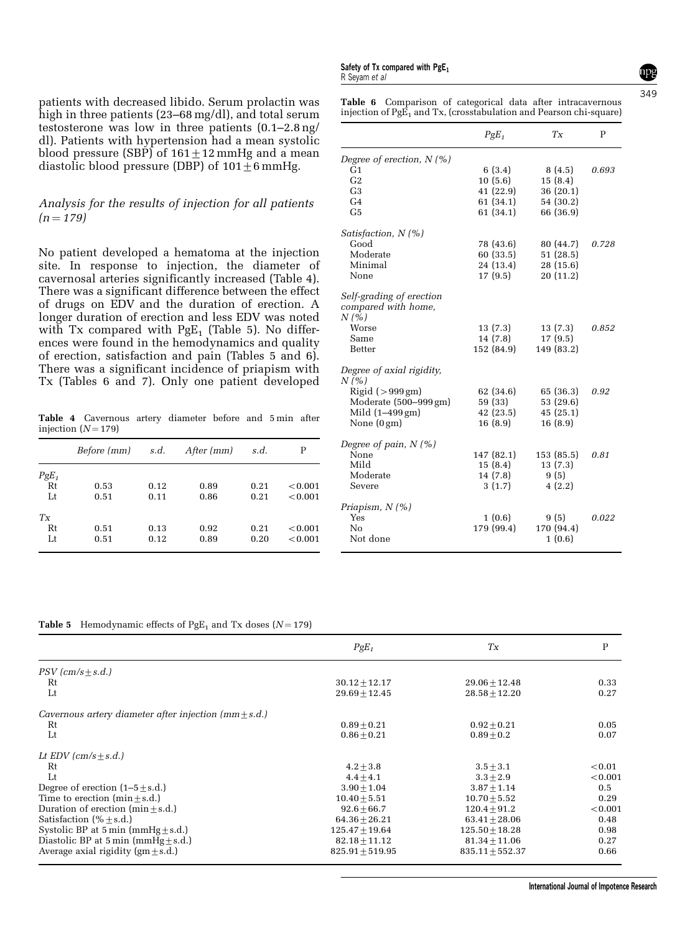patients with decreased libido. Serum prolactin was high in three patients (23–68 mg/dl), and total serum testosterone was low in three patients (0.1–2.8 ng/ dl). Patients with hypertension had a mean systolic blood pressure (SBP) of  $161+12$  mmHg and a mean

#### Analysis for the results of injection for all patients  $(n = 179)$

diastolic blood pressure (DBP) of  $101+6$  mmHg.

No patient developed a hematoma at the injection site. In response to injection, the diameter of cavernosal arteries significantly increased (Table 4). There was a significant difference between the effect of drugs on EDV and the duration of erection. A longer duration of erection and less EDV was noted with Tx compared with  $PgE_1$  (Table 5). No differences were found in the hemodynamics and quality of erection, satisfaction and pain (Tables 5 and 6). There was a significant incidence of priapism with Tx (Tables 6 and 7). Only one patient developed

Table 4 Cavernous artery diameter before and 5 min after injection  $(N = 179)$ 

|         | <i>Before</i> ( <i>mm</i> ) | s.d. | After (mm) | s.d. | Р       |
|---------|-----------------------------|------|------------|------|---------|
| $PgE_1$ |                             |      |            |      |         |
| Rt      | 0.53                        | 0.12 | 0.89       | 0.21 | < 0.001 |
| Lt      | 0.51                        | 0.11 | 0.86       | 0.21 | < 0.001 |
| $T_X$   |                             |      |            |      |         |
| Rt      | 0.51                        | 0.13 | 0.92       | 0.21 | < 0.001 |
| Lt      | 0.51                        | 0.12 | 0.89       | 0.20 | < 0.001 |

Safety of Tx compared with  $PgE_1$ R Seyam et al

|  |  | <b>Table 6</b> Comparison of categorical data after intracavernous    |
|--|--|-----------------------------------------------------------------------|
|  |  | injection of $PgE_1$ and Tx, (crosstabulation and Pearson chi-square) |
|  |  |                                                                       |

|                                                 | $PgE_1$    | $T_X$      | P     |
|-------------------------------------------------|------------|------------|-------|
| Degree of erection, $N(\%)$                     |            |            |       |
| G <sub>1</sub>                                  | 6(3.4)     | 8(4.5)     | 0.693 |
| G <sub>2</sub>                                  | 10(5.6)    | 15(8.4)    |       |
| G <sub>3</sub>                                  | 41 (22.9)  | 36(20.1)   |       |
| G <sub>4</sub>                                  | 61 (34.1)  | 54 (30.2)  |       |
| G <sub>5</sub>                                  | 61 (34.1)  | 66 (36.9)  |       |
| Satisfaction, $N(\%)$                           |            |            |       |
| Good                                            | 78 (43.6)  | 80 (44.7)  | 0.728 |
| Moderate                                        | 60 (33.5)  | 51(28.5)   |       |
| Minimal                                         | 24 (13.4)  | 28 (15.6)  |       |
| None                                            | 17(9.5)    | 20(11.2)   |       |
| Self-grading of erection<br>compared with home, |            |            |       |
| N(%                                             |            |            |       |
| Worse                                           | 13(7.3)    | 13(7.3)    | 0.852 |
| Same                                            | 14(7.8)    | 17(9.5)    |       |
| Better                                          | 152 (84.9) | 149 (83.2) |       |
| Degree of axial rigidity,<br>N (%)              |            |            |       |
| Rigid $(>999 \text{ gm})$                       | 62 (34.6)  | 65 (36.3)  | 0.92  |
| Moderate (500-999 gm)                           | 59 (33)    | 53 (29.6)  |       |
| Mild (1-499 gm)                                 | 42 (23.5)  | 45(25.1)   |       |
| None (0gm)                                      | 16(8.9)    | 16(8.9)    |       |
| Degree of pain, $N(\%)$                         |            |            |       |
| None                                            | 147 (82.1) | 153 (85.5) | 0.81  |
| Mild                                            | 15(8.4)    | 13(7.3)    |       |
| Moderate                                        | 14(7.8)    | 9(5)       |       |
| Severe                                          | 3(1.7)     | 4(2.2)     |       |
| Priapism, N (%)                                 |            |            |       |
| Yes                                             | 1(0.6)     | 9(5)       | 0.022 |
| Nο                                              | 179 (99.4) | 170 (94.4) |       |
| Not done                                        |            | 1(0.6)     |       |

**Table 5** Hemodynamic effects of PgE<sub>1</sub> and Tx doses  $(N = 179)$ 

|                                                       | $PgE_1$           | $T_{X}$           | P       |
|-------------------------------------------------------|-------------------|-------------------|---------|
| $PSV$ (cm/s+s.d.)                                     |                   |                   |         |
| Rt                                                    | $30.12 + 12.17$   | $29.06 + 12.48$   | 0.33    |
| Lt                                                    | $29.69 + 12.45$   | $28.58 + 12.20$   | 0.27    |
| Cavernous artery diameter after injection $(mm+s.d.)$ |                   |                   |         |
| Rt                                                    | $0.89 + 0.21$     | $0.92 + 0.21$     | 0.05    |
| Lt                                                    | $0.86 + 0.21$     | $0.89 + 0.2$      | 0.07    |
| Lt EDV $(cm/s + s.d.)$                                |                   |                   |         |
| Rt                                                    | $4.2 + 3.8$       | $3.5 + 3.1$       | < 0.01  |
| I.t                                                   | $4.4 + 4.1$       | $3.3 + 2.9$       | < 0.001 |
| Degree of erection $(1-5+s.d.)$                       | $3.90 + 1.04$     | $3.87 + 1.14$     | 0.5     |
| Time to erection $(min+s.d.)$                         | $10.40 + 5.51$    | $10.70 + 5.52$    | 0.29    |
| Duration of erection $(min+s.d.)$                     | $92.6 + 66.7$     | $120.4 + 91.2$    | < 0.001 |
| Satisfaction $(% + s.d.)$                             | $64.36 + 26.21$   | $63.41 + 28.06$   | 0.48    |
| Systolic BP at $5 \text{ min (mmHg+s.d.)}$            | $125.47 + 19.64$  | $125.50 + 18.28$  | 0.98    |
| Diastolic BP at $5 \text{ min (mmHg+s.d.)}$           | $82.18 + 11.12$   | $81.34 + 11.06$   | 0.27    |
| Average axial rigidity (gm $\pm$ s.d.)                | $825.91 + 519.95$ | $835.11 + 552.37$ | 0.66    |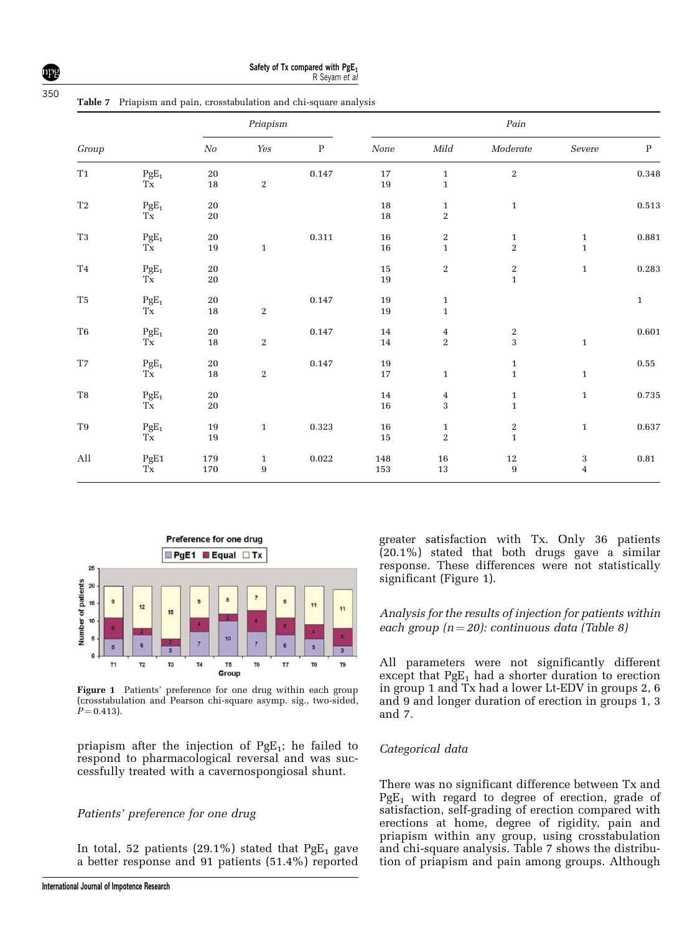Safety of Tx compared with  $PgE_1$ R Seyam et al

Table 7 Priapism and pain, crosstabulation and chi-square analysis

|                             |                                  |                  | Priapism                         |              |                  | Pain                                  |                                             |                       |              |
|-----------------------------|----------------------------------|------------------|----------------------------------|--------------|------------------|---------------------------------------|---------------------------------------------|-----------------------|--------------|
| Group                       |                                  | No               | $\mathit{Yes}$                   | $\, {\bf P}$ | None             | $\emph{Mild}$                         | $\label{thm:moderate} \textit{Modern}$      | $Severe$              | ${\bf P}$    |
| $\rm T1$                    | $\rm{PgE}_{1}$<br>$T_{\rm X}$    | $20\,$<br>$18\,$ | $\,2$                            | $0.147\,$    | 17<br>19         | $\mathbf 1$<br>$\mathbf{1}$           | $\overline{\mathbf{2}}$                     |                       | 0.348        |
| $\operatorname{T2}$         | $\frac{\text{PgE}_1}{\text{Tx}}$ | $20\,$<br>$20\,$ |                                  |              | $18\,$<br>$18\,$ | $\mathbf{1}$<br>$\overline{c}$        | $\,1\,$                                     |                       | $\,0.513\,$  |
| $\rm{T}3$                   | $\rm{PgE}_{1}$<br>$T_{\rm X}$    | $20\,$<br>$19\,$ | $\mathbf 1$                      | $\,0.311\,$  | $16\,$<br>16     | $\,2$<br>$\mathbf{1}$                 | $\mathbf{1}$<br>$\overline{2}$              | $\,1$<br>$\mathbf{1}$ | 0.881        |
| $\operatorname{T4}$         | $\rm{PgE}_{1}$<br>Tx             | $20\,$<br>20     |                                  |              | $15\,$<br>19     | $\,2$                                 | $\begin{array}{c} 2 \\ 1 \end{array}$       | $\mathbf{1}$          | 0.283        |
| $\rm{T}5$                   | $\frac{\text{PgE}_1}{\text{Tx}}$ | $20\,$<br>$18\,$ | $\,2$                            | $0.147\,$    | $19\,$<br>19     | $\begin{array}{c} 1 \\ 1 \end{array}$ |                                             |                       | $\mathbf{1}$ |
| $\rm T6$                    | $\mathrm{PgE}_1$<br>Tx           | $20\,$<br>$18\,$ | $\,2$                            | $0.147\,$    | $14\,$<br>14     | $\frac{4}{2}$                         | $\frac{2}{3}$                               | $\,1\,$               | 0.601        |
| $\operatorname{T7}$         | $\frac{\text{PgE}_1}{\text{Tx}}$ | $20\,$<br>$18\,$ | $\,2$                            | $0.147\,$    | $19\,$<br>17     | $\,1\,$                               | $\begin{smallmatrix}1\1\1\end{smallmatrix}$ | $\mathbf{1}$          | $\bf 0.55$   |
| $\rm{T}8$                   | $\frac{\text{PgE}_1}{\text{Tx}}$ | $20\,$<br>$20\,$ |                                  |              | $14\,$<br>$16\,$ | $\overline{4}$<br>3                   | $\mathbf{1}$<br>$\mathbf{1}$                | $\mathbf{1}$          | $0.735\,$    |
| $\rm T9$                    | $\rm{PgE}_{1}$<br>Tx             | $19\,$<br>19     | $\mathbf{1}$                     | $\,0.323\,$  | $16\,$<br>$15\,$ | $\mathbf{1}$<br>$\overline{c}$        | $\begin{array}{c} 2 \\ 1 \end{array}$       | $\mathbf{1}$          | 0.637        |
| $\mathop{\rm All}\nolimits$ | $_{\rm Tx}^{\rm PgE1}$           | $179\,$<br>170   | $\mathbf{1}$<br>$\boldsymbol{9}$ | $\bf 0.022$  | $148\,$<br>153   | ${\bf 16}$<br>$13\,$                  | $12\,$<br>$\overline{9}$                    | $_4^3$                | $\bf 0.81$   |



Figure 1 Patients' preference for one drug within each group (crosstabulation and Pearson chi-square asymp. sig., two-sided,  $P = 0.413$ .

priapism after the injection of  $PgE_1$ ; he failed to respond to pharmacological reversal and was successfully treated with a cavernospongiosal shunt.

#### Patients' preference for one drug

In total, 52 patients (29.1%) stated that  $PgE_1$  gave a better response and 91 patients (51.4%) reported

greater satisfaction with Tx. Only 36 patients  $(20.1\%)$  stated that both drugs gave a similar response. These differences were not statistically significant (Figure 1).

#### Analysis for the results of injection for patients within each group  $(n = 20)$ : continuous data (Table 8)

All parameters were not significantly different except that  $PgE_1$  had a shorter duration to erection in group 1 and Tx had a lower Lt-EDV in groups 2, 6 and 9 and longer duration of erection in groups 1, 3 and 7.

#### Categorical data

There was no significant difference between Tx and  $PgE_1$  with regard to degree of erection, grade of satisfaction, self-grading of erection compared with erections at home, degree of rigidity, pain and priapism within any group, using crosstabulation and chi-square analysis. Table 7 shows the distribution of priapism and pain among groups. Although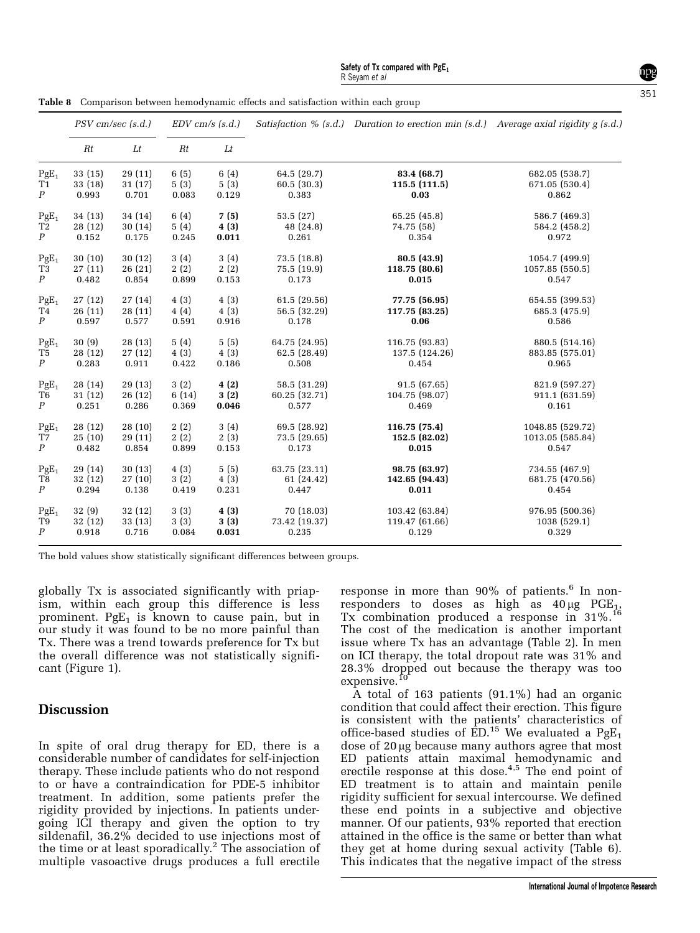| Table 8 Comparison between hemodynamic effects and satisfaction within each group |  |  |  |  |  |
|-----------------------------------------------------------------------------------|--|--|--|--|--|
|                                                                                   |  |  |  |  |  |

|                           |                    |                  |              | $PSV$ cm/sec $(s.d.)$ |                           | $EDV$ cm/s $(s.d.)$         |                                  | Satisfaction % (s.d.) Duration to erection min (s.d.) Average axial rigidity $g$ (s.d.) |  |
|---------------------------|--------------------|------------------|--------------|-----------------------|---------------------------|-----------------------------|----------------------------------|-----------------------------------------------------------------------------------------|--|
|                           | Rt                 | Lt               | Rt           | Lt                    |                           |                             |                                  |                                                                                         |  |
| $PgE_1$<br>T <sub>1</sub> | 33 (15)<br>33 (18) | 29(11)<br>31(17) | 6(5)<br>5(3) | 6(4)<br>5(3)          | 64.5 (29.7)<br>60.5(30.3) | 83.4 (68.7)<br>115.5(111.5) | 682.05 (538.7)<br>671.05 (530.4) |                                                                                         |  |
| $\boldsymbol{P}$          | 0.993              | 0.701            | 0.083        | 0.129                 | 0.383                     | 0.03                        | 0.862                            |                                                                                         |  |
| $PgE_1$                   | 34 (13)            | 34 (14)          | 6(4)         | 7(5)                  | 53.5(27)                  | 65.25 (45.8)                | 586.7 (469.3)                    |                                                                                         |  |
| T <sub>2</sub>            | 28 (12)            | 30(14)           | 5(4)         | 4(3)                  | 48 (24.8)                 | 74.75 (58)                  | 584.2 (458.2)                    |                                                                                         |  |
| $\boldsymbol{P}$          | 0.152              | 0.175            | $\,0.245\,$  | 0.011                 | 0.261                     | 0.354                       | 0.972                            |                                                                                         |  |
| $PgE_1$                   | 30(10)             | 30(12)           | 3(4)         | 3(4)                  | 73.5 (18.8)               | 80.5(43.9)                  | 1054.7 (499.9)                   |                                                                                         |  |
| T3                        | 27(11)             | 26(21)           | 2(2)         | 2(2)                  | 75.5 (19.9)               | 118.75 (80.6)               | 1057.85 (550.5)                  |                                                                                         |  |
| $\boldsymbol{P}$          | 0.482              | 0.854            | 0.899        | 0.153                 | 0.173                     | 0.015                       | 0.547                            |                                                                                         |  |
| $PgE_1$                   | 27(12)             | 27(14)           | 4(3)         | 4(3)                  | 61.5 (29.56)              | 77.75 (56.95)               | 654.55 (399.53)                  |                                                                                         |  |
| T4                        | 26(11)             | 28(11)           | 4(4)         | 4(3)                  | 56.5 (32.29)              | 117.75 (83.25)              | 685.3 (475.9)                    |                                                                                         |  |
| $\boldsymbol{P}$          | 0.597              | 0.577            | 0.591        | 0.916                 | 0.178                     | 0.06                        | 0.586                            |                                                                                         |  |
| $PgE_1$                   | 30(9)              | 28(13)           | 5(4)         | 5(5)                  | 64.75 (24.95)             | 116.75 (93.83)              | 880.5 (514.16)                   |                                                                                         |  |
| T5                        | 28 (12)            | 27(12)           | 4(3)         | 4(3)                  | 62.5 (28.49)              | 137.5 (124.26)              | 883.85 (575.01)                  |                                                                                         |  |
| $\boldsymbol{P}$          | 0.283              | 0.911            | 0.422        | 0.186                 | 0.508                     | 0.454                       | 0.965                            |                                                                                         |  |
| $PgE_1$                   | 28 (14)            | 29 (13)          | 3(2)         | 4(2)                  | 58.5 (31.29)              | 91.5(67.65)                 | 821.9 (597.27)                   |                                                                                         |  |
| T6                        | 31(12)             | 26(12)           | 6(14)        | 3(2)                  | 60.25 (32.71)             | 104.75 (98.07)              | 911.1 (631.59)                   |                                                                                         |  |
| $\boldsymbol{P}$          | 0.251              | 0.286            | 0.369        | 0.046                 | 0.577                     | 0.469                       | 0.161                            |                                                                                         |  |
| $PgE_1$                   | 28 (12)            | 28(10)           | 2(2)         | 3(4)                  | 69.5 (28.92)              | 116.75 (75.4)               | 1048.85 (529.72)                 |                                                                                         |  |
| T7                        | 25(10)             | 29(11)           | 2(2)         | 2(3)                  | 73.5 (29.65)              | 152.5 (82.02)               | 1013.05 (585.84)                 |                                                                                         |  |
| $\boldsymbol{P}$          | 0.482              | 0.854            | 0.899        | 0.153                 | 0.173                     | 0.015                       | 0.547                            |                                                                                         |  |
| $PgE_1$                   | 29 (14)            | 30(13)           | 4(3)         | 5(5)                  | 63.75 (23.11)             | 98.75 (63.97)               | 734.55 (467.9)                   |                                                                                         |  |
| T8                        | 32 (12)            | 27(10)           | 3(2)         | 4(3)                  | 61 (24.42)                | 142.65 (94.43)              | 681.75 (470.56)                  |                                                                                         |  |
| $\boldsymbol{P}$          | 0.294              | 0.138            | 0.419        | 0.231                 | 0.447                     | 0.011                       | 0.454                            |                                                                                         |  |
| $PgE_1$                   | 32(9)              | 32(12)           | 3(3)         | 4(3)                  | 70 (18.03)                | 103.42 (63.84)              | 976.95 (500.36)                  |                                                                                         |  |
| T9                        | 32 (12)            | 33(13)           | 3(3)         | 3(3)                  | 73.42 (19.37)             | 119.47 (61.66)              | 1038 (529.1)                     |                                                                                         |  |
| $\boldsymbol{P}$          | 0.918              | 0.716            | 0.084        | 0.031                 | 0.235                     | 0.129                       | 0.329                            |                                                                                         |  |

The bold values show statistically significant differences between groups.

globally Tx is associated significantly with priapism, within each group this difference is less prominent. Pg $E_1$  is known to cause pain, but in our study it was found to be no more painful than Tx. There was a trend towards preference for Tx but the overall difference was not statistically significant (Figure 1).

### Discussion

In spite of oral drug therapy for ED, there is a considerable number of candidates for self-injection therapy. These include patients who do not respond to or have a contraindication for PDE-5 inhibitor treatment. In addition, some patients prefer the rigidity provided by injections. In patients undergoing ICI therapy and given the option to try sildenafil, 36.2% decided to use injections most of the time or at least sporadically.<sup>2</sup> The association of multiple vasoactive drugs produces a full erectile

response in more than  $90\%$  of patients.<sup>6</sup> In nonresponders to doses as high as  $40 \mu g$  PGE<sub>1</sub>, Tx combination produced a response in 31%.<sup>16</sup> The cost of the medication is another important issue where Tx has an advantage (Table 2). In men on ICI therapy, the total dropout rate was 31% and 28.3% dropped out because the therapy was too expensive.<sup>1</sup>

A total of 163 patients (91.1%) had an organic condition that could affect their erection. This figure is consistent with the patients' characteristics of office-based studies of  $\text{ED}^{15}$  We evaluated a PgE<sub>1</sub> dose of 20 µg because many authors agree that most ED patients attain maximal hemodynamic and erectile response at this dose.<sup>4,5</sup> The end point of ED treatment is to attain and maintain penile rigidity sufficient for sexual intercourse. We defined these end points in a subjective and objective manner. Of our patients, 93% reported that erection attained in the office is the same or better than what they get at home during sexual activity (Table 6). This indicates that the negative impact of the stress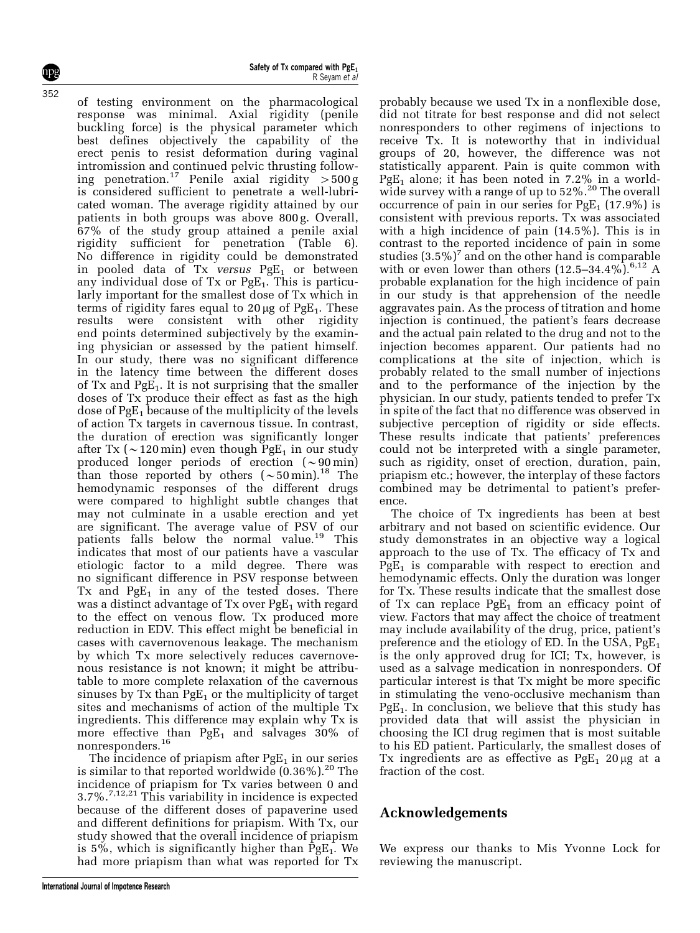npg 352

of testing environment on the pharmacological response was minimal. Axial rigidity (penile buckling force) is the physical parameter which best defines objectively the capability of the erect penis to resist deformation during vaginal intromission and continued pelvic thrusting following penetration.<sup>17</sup> Penile axial rigidity  $>500 g$ is considered sufficient to penetrate a well-lubricated woman. The average rigidity attained by our patients in both groups was above 800 g. Overall, 67% of the study group attained a penile axial rigidity sufficient for penetration (Table 6). No difference in rigidity could be demonstrated in pooled data of Tx versus  $PgE_1$  or between any individual dose of  $Tx$  or  $PgE_1$ . This is particularly important for the smallest dose of Tx which in terms of rigidity fares equal to  $20 \mu$ g of PgE<sub>1</sub>. These results were consistent with other rigidity end points determined subjectively by the examining physician or assessed by the patient himself. In our study, there was no significant difference in the latency time between the different doses of Tx and  $PgE_1$ . It is not surprising that the smaller doses of Tx produce their effect as fast as the high dose of  $PgE_1$  because of the multiplicity of the levels of action Tx targets in cavernous tissue. In contrast, the duration of erection was significantly longer after Tx ( $\sim$ 120 min) even though PgE<sub>1</sub> in our study produced longer periods of erection  $(\sim 90 \,\mathrm{min})$ than those reported by others  $\sim 50$  min).<sup>18</sup> The hemodynamic responses of the different drugs were compared to highlight subtle changes that may not culminate in a usable erection and yet are significant. The average value of PSV of our patients falls below the normal value.<sup>19</sup> This indicates that most of our patients have a vascular etiologic factor to a mild degree. There was no significant difference in PSV response between Tx and  $PgE_1$  in any of the tested doses. There was a distinct advantage of  $Tx$  over  $PgE_1$  with regard to the effect on venous flow. Tx produced more reduction in EDV. This effect might be beneficial in cases with cavernovenous leakage. The mechanism by which Tx more selectively reduces cavernovenous resistance is not known; it might be attributable to more complete relaxation of the cavernous sinuses by  $Tx$  than  $PgE_1$  or the multiplicity of target sites and mechanisms of action of the multiple Tx ingredients. This difference may explain why Tx is more effective than  $PgE_1$  and salvages 30% of nonresponders.<sup>16</sup>

The incidence of priapism after  $PgE_1$  in our series is similar to that reported worldwide  $(0.36\%)$ .<sup>20</sup> The incidence of priapism for Tx varies between 0 and  $3.7\%$ .<sup>7,12,21</sup> This variability in incidence is expected because of the different doses of papaverine used and different definitions for priapism. With Tx, our study showed that the overall incidence of priapism is  $5\%$ , which is significantly higher than PgE<sub>1</sub>. We had more priapism than what was reported for Tx

probably because we used Tx in a nonflexible dose, did not titrate for best response and did not select nonresponders to other regimens of injections to receive Tx. It is noteworthy that in individual groups of 20, however, the difference was not statistically apparent. Pain is quite common with PgE<sub>1</sub> alone; it has been noted in 7.2% in a worldwide survey with a range of up to 52%.<sup>20</sup> The overall occurrence of pain in our series for  $PgE_1$  (17.9%) is consistent with previous reports. Tx was associated with a high incidence of pain (14.5%). This is in contrast to the reported incidence of pain in some studies  $(3.5\%)^7$  and on the other hand is comparable with or even lower than others  $(12.5-34.4\%)$ <sup>6,12</sup> A probable explanation for the high incidence of pain in our study is that apprehension of the needle aggravates pain. As the process of titration and home injection is continued, the patient's fears decrease and the actual pain related to the drug and not to the injection becomes apparent. Our patients had no complications at the site of injection, which is probably related to the small number of injections and to the performance of the injection by the physician. In our study, patients tended to prefer Tx in spite of the fact that no difference was observed in subjective perception of rigidity or side effects. These results indicate that patients' preferences could not be interpreted with a single parameter, such as rigidity, onset of erection, duration, pain, priapism etc.; however, the interplay of these factors combined may be detrimental to patient's preference.

The choice of Tx ingredients has been at best arbitrary and not based on scientific evidence. Our study demonstrates in an objective way a logical approach to the use of Tx. The efficacy of Tx and  $PgE_1$  is comparable with respect to erection and hemodynamic effects. Only the duration was longer for Tx. These results indicate that the smallest dose of Tx can replace  $PgE_1$  from an efficacy point of view. Factors that may affect the choice of treatment may include availability of the drug, price, patient's preference and the etiology of ED. In the USA,  $PgE_1$ is the only approved drug for ICI; Tx, however, is used as a salvage medication in nonresponders. Of particular interest is that Tx might be more specific in stimulating the veno-occlusive mechanism than  $PgE<sub>1</sub>$ . In conclusion, we believe that this study has provided data that will assist the physician in choosing the ICI drug regimen that is most suitable to his ED patient. Particularly, the smallest doses of Tx ingredients are as effective as  $PgE_1$  20 µg at a fraction of the cost.

## Acknowledgements

We express our thanks to Mis Yvonne Lock for reviewing the manuscript.